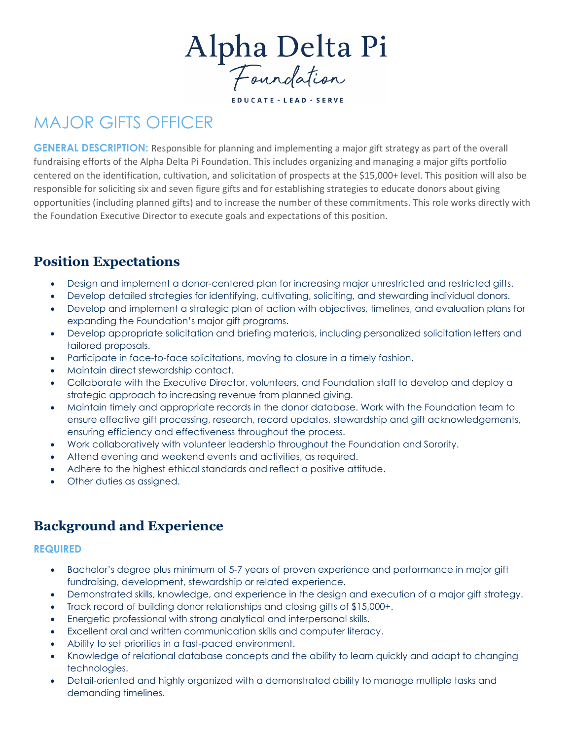Alpha Delta Pi

**EDUCATE · LEAD · SERVE** 

# MAJOR GIFTS OFFICER

**GENERAL DESCRIPTION:** Responsible for planning and implementing a major gift strategy as part of the overall fundraising efforts of the Alpha Delta Pi Foundation. This includes organizing and managing a major gifts portfolio centered on the identification, cultivation, and solicitation of prospects at the \$15,000+ level. This position will also be responsible for soliciting six and seven figure gifts and for establishing strategies to educate donors about giving opportunities (including planned gifts) and to increase the number of these commitments. This role works directly with the Foundation Executive Director to execute goals and expectations of this position.

## **Position Expectations**

- Design and implement a donor-centered plan for increasing major unrestricted and restricted gifts.
- Develop detailed strategies for identifying, cultivating, soliciting, and stewarding individual donors.
- Develop and implement a strategic plan of action with objectives, timelines, and evaluation plans for expanding the Foundation's major gift programs.
- Develop appropriate solicitation and briefing materials, including personalized solicitation letters and tailored proposals.
- Participate in face-to-face solicitations, moving to closure in a timely fashion.
- Maintain direct stewardship contact.
- Collaborate with the Executive Director, volunteers, and Foundation staff to develop and deploy a strategic approach to increasing revenue from planned giving.
- Maintain timely and appropriate records in the donor database. Work with the Foundation team to ensure effective gift processing, research, record updates, stewardship and gift acknowledgements, ensuring efficiency and effectiveness throughout the process.
- Work collaboratively with volunteer leadership throughout the Foundation and Sorority.
- Attend evening and weekend events and activities, as required.
- Adhere to the highest ethical standards and reflect a positive attitude.
- Other duties as assigned.

## **Background and Experience**

#### **REQUIRED**

- Bachelor's degree plus minimum of 5-7 years of proven experience and performance in major gift fundraising, development, stewardship or related experience.
- Demonstrated skills, knowledge, and experience in the design and execution of a major gift strategy.
- Track record of building donor relationships and closing gifts of \$15,000+.
- Energetic professional with strong analytical and interpersonal skills.
- Excellent oral and written communication skills and computer literacy.
- Ability to set priorities in a fast-paced environment.
- Knowledge of relational database concepts and the ability to learn quickly and adapt to changing technologies.
- Detail-oriented and highly organized with a demonstrated ability to manage multiple tasks and demanding timelines.